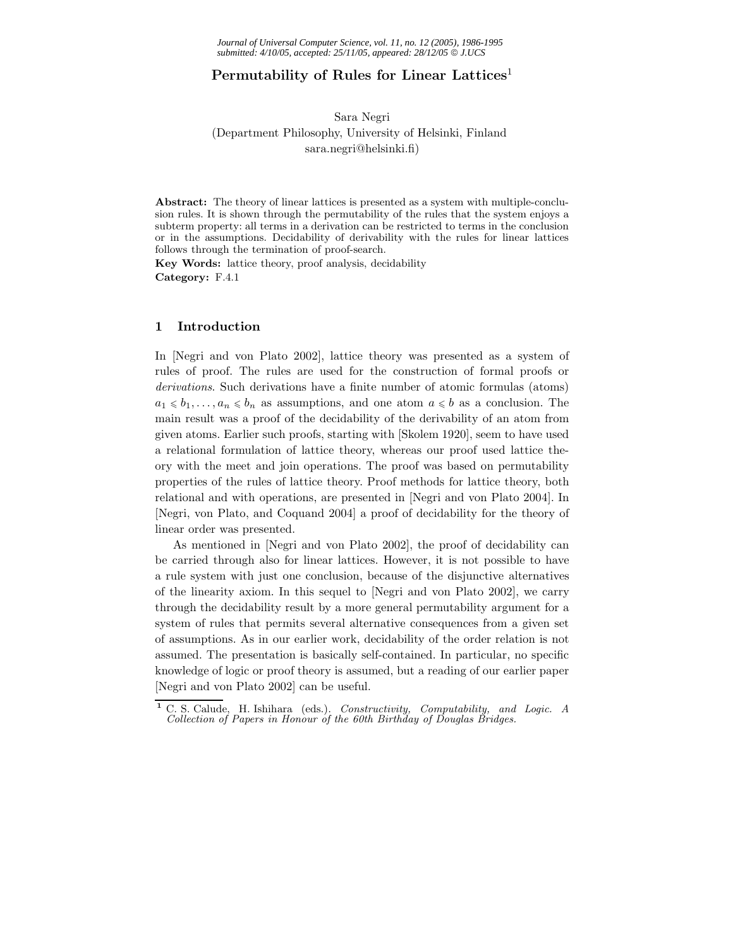# **Permutability of Rules for Linear Lattices**<sup>1</sup>

#### Sara Negri

## (Department Philosophy, University of Helsinki, Finland sara.negri@helsinki.fi)

**Abstract:** The theory of linear lattices is presented as a system with multiple-conclusion rules. It is shown through the permutability of the rules that the system enjoys a subterm property: all terms in a derivation can be restricted to terms in the conclusion or in the assumptions. Decidability of derivability with the rules for linear lattices follows through the termination of proof-search.

**Key Words:** lattice theory, proof analysis, decidability **Category:** F.4.1

#### **1 Introduction**

In [Negri and von Plato 2002], lattice theory was presented as a system of rules of proof. The rules are used for the construction of formal proofs or *derivations*. Such derivations have a finite number of atomic formulas (atoms)  $a_1 \leq b_1, \ldots, a_n \leq b_n$  as assumptions, and one atom  $a \leq b$  as a conclusion. The main result was a proof of the decidability of the derivability of an atom from given atoms. Earlier such proofs, starting with [Skolem 1920], seem to have used a relational formulation of lattice theory, whereas our proof used lattice theory with the meet and join operations. The proof was based on permutability properties of the rules of lattice theory. Proof methods for lattice theory, both relational and with operations, are presented in [Negri and von Plato 2004]. In [Negri, von Plato, and Coquand 2004] a proof of decidability for the theory of linear order was presented.

As mentioned in [Negri and von Plato 2002], the proof of decidability can be carried through also for linear lattices. However, it is not possible to have a rule system with just one conclusion, because of the disjunctive alternatives of the linearity axiom. In this sequel to [Negri and von Plato 2002], we carry through the decidability result by a more general permutability argument for a system of rules that permits several alternative consequences from a given set of assumptions. As in our earlier work, decidability of the order relation is not assumed. The presentation is basically self-contained. In particular, no specific knowledge of logic or proof theory is assumed, but a reading of our earlier paper [Negri and von Plato 2002] can be useful.

**<sup>1</sup>** C. S. Calude, H. Ishihara (eds.). *Constructivity, Computability, and Logic. A Collection of Papers in Honour of the 60th Birthday of Douglas Bridges.*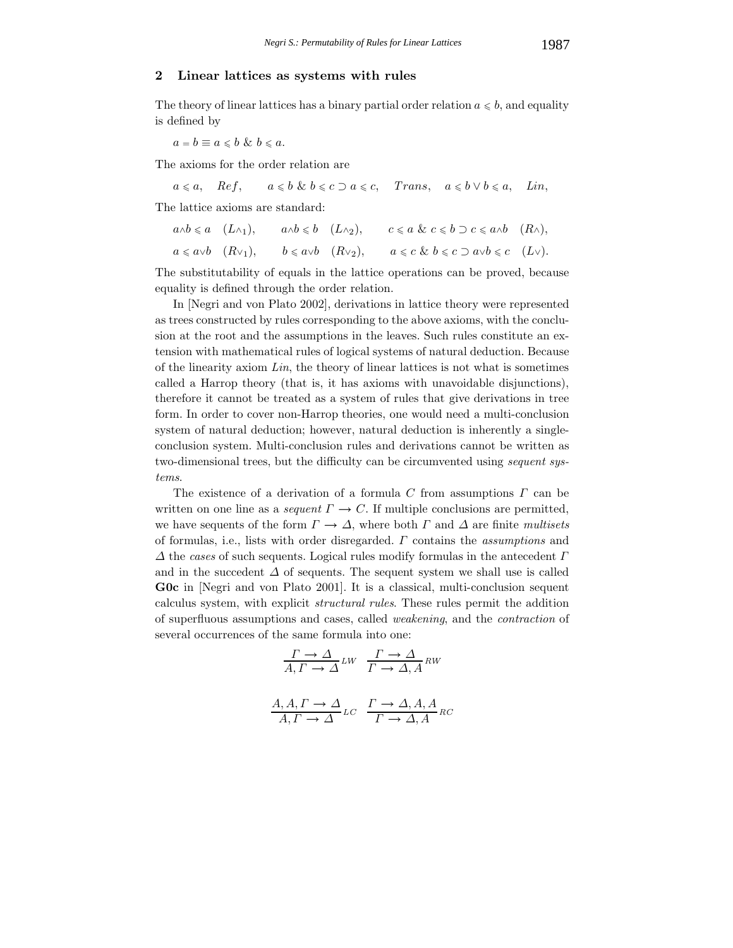### **2 Linear lattices as systems with rules**

The theory of linear lattices has a binary partial order relation  $a \leq b$ , and equality is defined by

 $a = b \equiv a \leq b \& b \leq a$ .

The axioms for the order relation are

 $a \leq a$ ,  $\text{Re } f$ ,  $a \leq b \& b \leq c \supset a \leq c$ , *Trans*,  $a \leq b \vee b \leq a$ , *Lin.* 

The lattice axioms are standard:

| $a \wedge b \leq a \quad (L \wedge_1),$ | $a \wedge b \leq b \quad (L \wedge_2),$ | $c \leq a \& c \leq b \supset c \leq a \wedge b \quad (R \wedge),$              |  |
|-----------------------------------------|-----------------------------------------|---------------------------------------------------------------------------------|--|
| $a \leq a \vee b$ $(R \vee_1),$         | $b \leq a \vee b$ $(R \vee_2),$         | $a \leqslant c \And b \leqslant c \supset a \lor b \leqslant c \quad (L \lor).$ |  |

The substitutability of equals in the lattice operations can be proved, because equality is defined through the order relation.

In [Negri and von Plato 2002], derivations in lattice theory were represented as trees constructed by rules corresponding to the above axioms, with the conclusion at the root and the assumptions in the leaves. Such rules constitute an extension with mathematical rules of logical systems of natural deduction. Because of the linearity axiom *Lin*, the theory of linear lattices is not what is sometimes called a Harrop theory (that is, it has axioms with unavoidable disjunctions), therefore it cannot be treated as a system of rules that give derivations in tree form. In order to cover non-Harrop theories, one would need a multi-conclusion system of natural deduction; however, natural deduction is inherently a singleconclusion system. Multi-conclusion rules and derivations cannot be written as two-dimensional trees, but the difficulty can be circumvented using *sequent systems*.

The existence of a derivation of a formula  $C$  from assumptions  $\Gamma$  can be written on one line as a *sequent*  $\Gamma \to C$ . If multiple conclusions are permitted, we have sequents of the form  $\Gamma \to \Delta$ , where both  $\Gamma$  and  $\Delta$  are finite *multisets* of formulas, i.e., lists with order disregarded. Γ contains the *assumptions* and  $\Delta$  the *cases* of such sequents. Logical rules modify formulas in the antecedent  $\Gamma$ and in the succedent  $\Delta$  of sequents. The sequent system we shall use is called **G0c** in [Negri and von Plato 2001]. It is a classical, multi-conclusion sequent calculus system, with explicit *structural rules*. These rules permit the addition of superfluous assumptions and cases, called *weakening*, and the *contraction* of several occurrences of the same formula into one:

$$
\frac{\Gamma \to \Delta}{A, \Gamma \to \Delta} \text{LW} \quad \frac{\Gamma \to \Delta}{\Gamma \to \Delta, A} \text{RW}
$$

$$
\frac{A, A, \Gamma \to \Delta}{A, \Gamma \to \Delta} LC \quad \frac{\Gamma \to \Delta, A, A}{\Gamma \to \Delta, A} RC
$$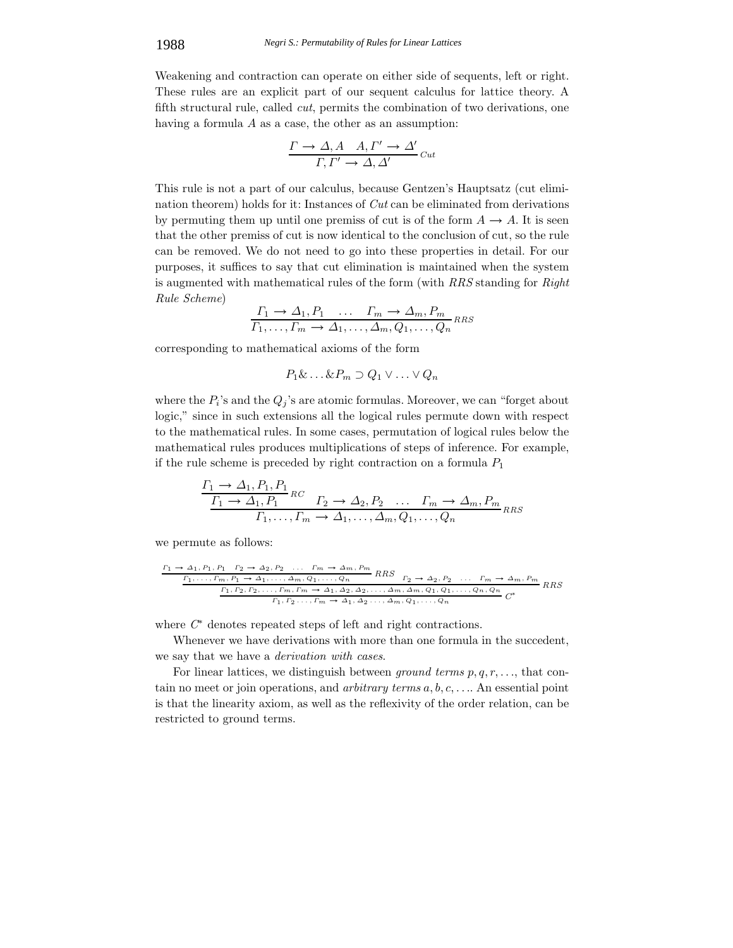Weakening and contraction can operate on either side of sequents, left or right. These rules are an explicit part of our sequent calculus for lattice theory. A fifth structural rule, called *cut*, permits the combination of two derivations, one having a formula A as a case, the other as an assumption:

$$
\frac{\Gamma \to \Delta, A \quad A, \Gamma' \to \Delta'}{\Gamma, \Gamma' \to \Delta, \Delta'}\,_{\text{cut}}
$$

This rule is not a part of our calculus, because Gentzen's Hauptsatz (cut elimination theorem) holds for it: Instances of *Cut* can be eliminated from derivations by permuting them up until one premiss of cut is of the form  $A \rightarrow A$ . It is seen that the other premiss of cut is now identical to the conclusion of cut, so the rule can be removed. We do not need to go into these properties in detail. For our purposes, it suffices to say that cut elimination is maintained when the system is augmented with mathematical rules of the form (with *RRS* standing for *Right Rule Scheme*)

$$
\frac{\Gamma_1 \to \Delta_1, P_1 \dots \Gamma_m \to \Delta_m, P_m}{\Gamma_1, \dots, \Gamma_m \to \Delta_1, \dots, \Delta_m, Q_1, \dots, Q_n} \text{RS}
$$

corresponding to mathematical axioms of the form

 $P_1\&\ldots\&P_m\supset Q_1\vee\ldots\vee Q_n$ 

where the  $P_i$ 's and the  $Q_j$ 's are atomic formulas. Moreover, we can "forget about logic," since in such extensions all the logical rules permute down with respect to the mathematical rules. In some cases, permutation of logical rules below the mathematical rules produces multiplications of steps of inference. For example, if the rule scheme is preceded by right contraction on a formula  $P_1$ 

$$
\frac{\Gamma_1 \to \Delta_1, P_1, P_1}{\Gamma_1 \to \Delta_1, P_1}^{RC} \quad \Gamma_2 \to \Delta_2, P_2 \quad \dots \quad \Gamma_m \to \Delta_m, P_m}{\Gamma_1, \dots, \Gamma_m \to \Delta_1, \dots, \Delta_m, Q_1, \dots, Q_n}^{RMS}
$$

we permute as follows:

$$
\frac{r_1 \rightarrow \Delta_1, P_1, P_1 \quad r_2 \rightarrow \Delta_2, P_2 \quad \dots \quad r_m \rightarrow \Delta_m, P_m}{r_1, \dots, r_m, P_1 \rightarrow \Delta_1, \dots, \Delta_m, Q_1, \dots, Q_n} \quad RRS \quad r_2 \rightarrow \Delta_2, P_2 \quad \dots \quad r_m \rightarrow \Delta_m, P_m}{r_1, r_2, r_2, \dots, r_m, r_m \rightarrow \Delta_1, \Delta_2, \Delta_2, \dots, \Delta_m, Q_1, Q_1, \dots, Q_n, Q_n}
$$
\n
$$
\frac{r_1, r_2, r_2, \dots, r_m, r_m \rightarrow \Delta_1, \Delta_2, \Delta_2, \dots, \Delta_m, Q_1, Q_1, \dots, Q_n}{r_1, r_2 \dots, r_m \rightarrow \Delta_1, \Delta_2, \dots, \Delta_m, Q_1, \dots, Q_n}
$$

where *C*<sup>∗</sup> denotes repeated steps of left and right contractions.

Whenever we have derivations with more than one formula in the succedent, we say that we have a *derivation with cases*.

For linear lattices, we distinguish between *ground terms*  $p, q, r, \ldots$ , that contain no meet or join operations, and *arbitrary terms* a, b, c, . . .. An essential point is that the linearity axiom, as well as the reflexivity of the order relation, can be restricted to ground terms.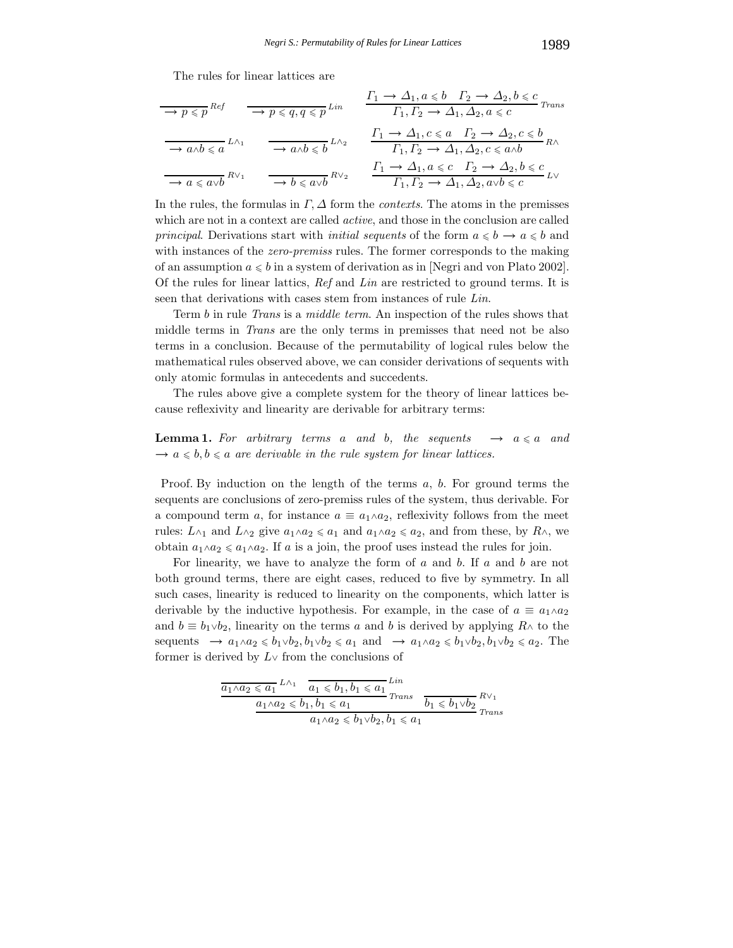The rules for linear lattices are

$$
\frac{\begin{array}{c}\n\hline\n\to p \leqslant p \text{ }^{Ref} \\
\hline\n\to p \leqslant p \text{ }^{Ref}\n\end{array}\n\quad\n\frac{\begin{array}{c}\n\Gamma_1 \to \Delta_1, a \leqslant b \quad \Gamma_2 \to \Delta_2, b \leqslant c \\
\Gamma_1, \Gamma_2 \to \Delta_1, \Delta_2, a \leqslant c\n\end{array}}{\begin{array}{c}\n\Gamma_1 \to a \land b \leqslant a \quad L \land a\n\end{array}\n\quad\n\frac{\begin{array}{c}\n\Gamma_2 \to \Delta_1, a \leqslant b \quad \Gamma_2 \to \Delta_2, b \leqslant c \\
\Gamma_1, \Gamma_2 \to \Delta_1, \Delta_2, a \leqslant c\n\end{array}}{\begin{array}{c}\n\Gamma_1 \to \Delta_1, c \leqslant a \quad \Gamma_2 \to \Delta_2, c \leqslant b \\
\Gamma_1, \Gamma_2 \to \Delta_1, \Delta_2, c \leqslant a \land b\n\end{array}}\n\quad R \land\n\frac{\begin{array}{c}\n\Gamma_1 \to \Delta_1, a \leqslant c \quad \Gamma_2 \to \Delta_2, b \leqslant c \\
\Gamma_1, \Gamma_2 \to \Delta_1, \Delta_2, a \lor b \leqslant c\n\end{array}}{\begin{array}{c}\n\Gamma_1 \to \Delta_1, a \leqslant c \quad \Gamma_2 \to \Delta_2, b \leqslant c \\
\Gamma_1, \Gamma_2 \to \Delta_1, \Delta_2, a \lor b \leqslant c\n\end{array}}\n\quad L \lor
$$

In the rules, the formulas in  $\Gamma$ ,  $\Delta$  form the *contexts*. The atoms in the premisses which are not in a context are called *active*, and those in the conclusion are called *principal.* Derivations start with *initial sequents* of the form  $a \leq b \rightarrow a \leq b$  and with instances of the *zero-premiss* rules. The former corresponds to the making of an assumption  $a \leq b$  in a system of derivation as in [Negri and von Plato 2002]. Of the rules for linear lattics, *Ref* and *Lin* are restricted to ground terms. It is seen that derivations with cases stem from instances of rule *Lin*.

Term b in rule *Trans* is a *middle term*. An inspection of the rules shows that middle terms in *Trans* are the only terms in premisses that need not be also terms in a conclusion. Because of the permutability of logical rules below the mathematical rules observed above, we can consider derivations of sequents with only atomic formulas in antecedents and succedents.

The rules above give a complete system for the theory of linear lattices because reflexivity and linearity are derivable for arbitrary terms:

## **Lemma 1.** For arbitrary terms a and b, the sequents  $\rightarrow a \leq a$  and  $\rightarrow a \leq b, b \leq a$  *are derivable in the rule system for linear lattices.*

Proof. By induction on the length of the terms  $a, b$ . For ground terms the sequents are conclusions of zero-premiss rules of the system, thus derivable. For a compound term a, for instance  $a \equiv a_1 \wedge a_2$ , reflexivity follows from the meet rules:  $L \wedge_1$  and  $L \wedge_2$  give  $a_1 \wedge a_2 \le a_1$  and  $a_1 \wedge a_2 \le a_2$ , and from these, by  $R \wedge$ , we obtain  $a_1 \wedge a_2 \le a_1 \wedge a_2$ . If a is a join, the proof uses instead the rules for join.

For linearity, we have to analyze the form of  $a$  and  $b$ . If  $a$  and  $b$  are not both ground terms, there are eight cases, reduced to five by symmetry. In all such cases, linearity is reduced to linearity on the components, which latter is derivable by the inductive hypothesis. For example, in the case of  $a \equiv a_1 \wedge a_2$ and  $b \equiv b_1 \vee b_2$ , linearity on the terms a and b is derived by applying R∧ to the sequents  $\rightarrow a_1 \wedge a_2 \leq b_1 \vee b_2, b_1 \vee b_2 \leq a_1$  and  $\rightarrow a_1 \wedge a_2 \leq b_1 \vee b_2, b_1 \vee b_2 \leq a_2$ . The former is derived by  $L \vee$  from the conclusions of

$$
\frac{\overline{a_1 \wedge a_2 \leq a_1} L \wedge_1 \quad \overline{a_1 \leq b_1, b_1 \leq a_1} L^{lin}}{\underline{a_1 \wedge a_2 \leq b_1, b_1 \leq a_1} T^{rans}} \frac{\overline{b_1 \leq b_1 \vee b_2}}{\overline{b_1 \leq b_1 \vee b_2}} R \vee_1
$$
\n
$$
\frac{a_1 \wedge a_2 \leq b_1 \vee b_2 \leq b_1 \vee b_2}{a_1 \wedge a_2 \leq b_1 \vee b_2, b_1 \leq a_1} T^{rans}
$$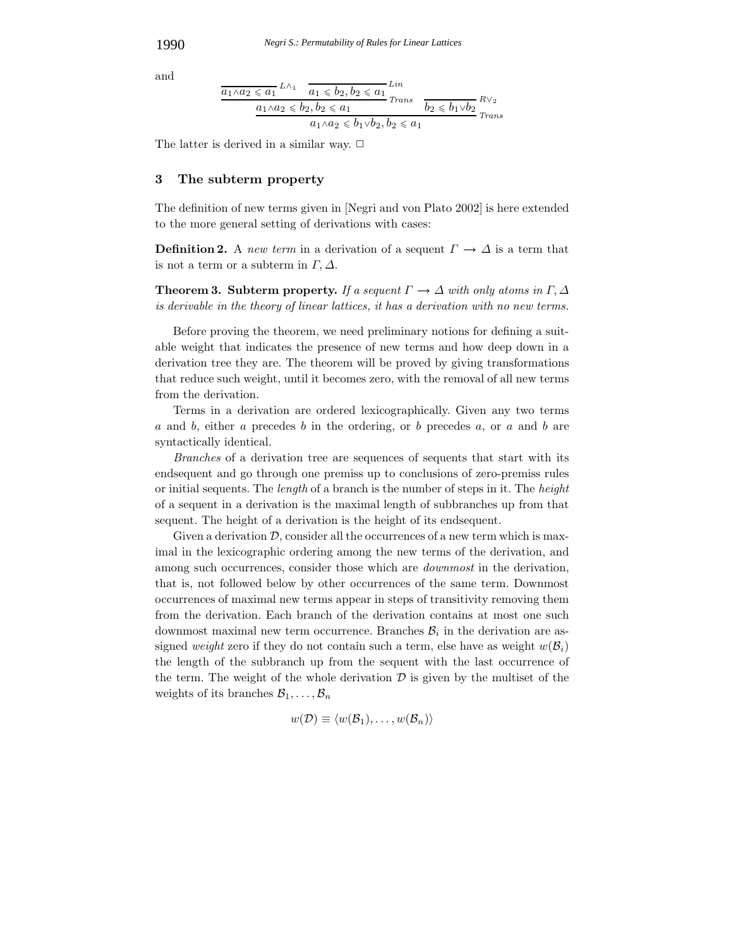and

$$
\frac{a_1 \wedge a_2 \leq a_1}{a_1 \wedge a_2 \leq b_2, b_2 \leq a_1} \lim_{\begin{subarray}{l} Trans \end{subarray}} \frac{Lin}{b_2 \leq b_1 \vee b_2} R \vee_2
$$
  

$$
\frac{a_1 \wedge a_2 \leq b_2, b_2 \leq a_1}{a_1 \wedge a_2 \leq b_1 \vee b_2, b_2 \leq a_1} \lim_{\begin{subarray}{l} Trans \end{subarray}} \frac{R \vee_2}{Trans}
$$

The latter is derived in a similar way.  $\Box$ 

#### **3 The subterm property**

The definition of new terms given in [Negri and von Plato 2002] is here extended to the more general setting of derivations with cases:

**Definition 2.** A *new term* in a derivation of a sequent  $\Gamma \to \Delta$  is a term that is not a term or a subterm in  $\Gamma, \Delta$ .

**Theorem 3. Subterm property.** *If a sequent*  $\Gamma \rightarrow \Delta$  *with only atoms in*  $\Gamma, \Delta$ *is derivable in the theory of linear lattices, it has a derivation with no new terms.*

Before proving the theorem, we need preliminary notions for defining a suitable weight that indicates the presence of new terms and how deep down in a derivation tree they are. The theorem will be proved by giving transformations that reduce such weight, until it becomes zero, with the removal of all new terms from the derivation.

Terms in a derivation are ordered lexicographically. Given any two terms a and b, either a precedes b in the ordering, or b precedes a, or a and b are syntactically identical.

*Branches* of a derivation tree are sequences of sequents that start with its endsequent and go through one premiss up to conclusions of zero-premiss rules or initial sequents. The *length* of a branch is the number of steps in it. The *height* of a sequent in a derivation is the maximal length of subbranches up from that sequent. The height of a derivation is the height of its endsequent.

Given a derivation  $\mathcal{D}$ , consider all the occurrences of a new term which is maximal in the lexicographic ordering among the new terms of the derivation, and among such occurrences, consider those which are *downmost* in the derivation, that is, not followed below by other occurrences of the same term. Downmost occurrences of maximal new terms appear in steps of transitivity removing them from the derivation. Each branch of the derivation contains at most one such downmost maximal new term occurrence. Branches  $B_i$  in the derivation are assigned *weight* zero if they do not contain such a term, else have as weight  $w(\mathcal{B}_i)$ the length of the subbranch up from the sequent with the last occurrence of the term. The weight of the whole derivation  $\mathcal D$  is given by the multiset of the weights of its branches  $\mathcal{B}_1,\ldots,\mathcal{B}_n$ 

$$
w(\mathcal{D}) \equiv \langle w(\mathcal{B}_1), \ldots, w(\mathcal{B}_n) \rangle
$$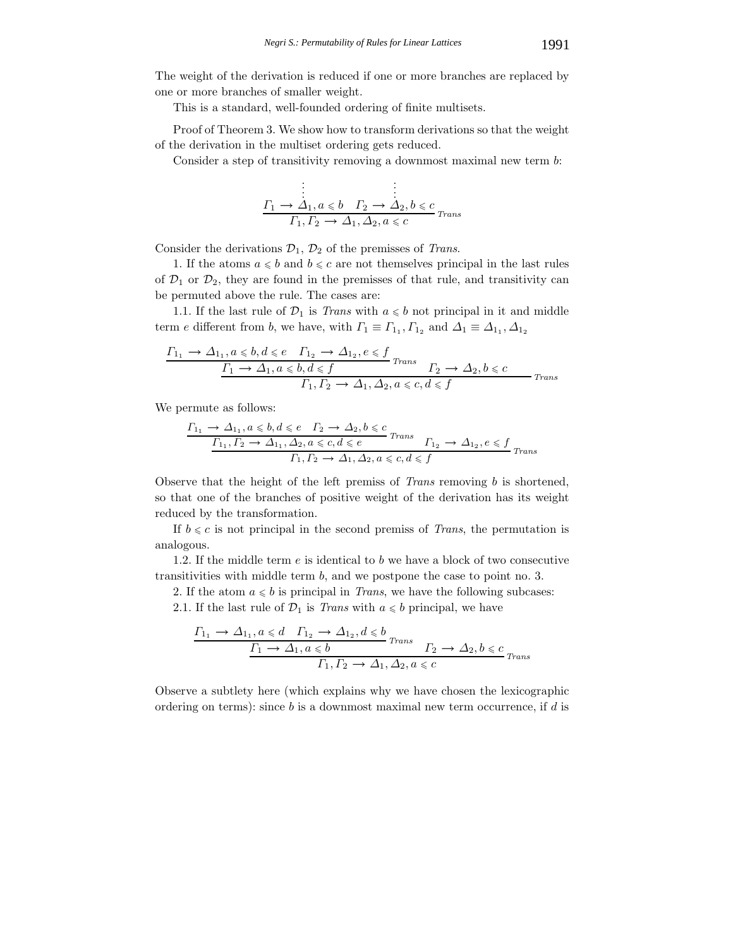The weight of the derivation is reduced if one or more branches are replaced by one or more branches of smaller weight.

This is a standard, well-founded ordering of finite multisets.

Proof of Theorem 3. We show how to transform derivations so that the weight of the derivation in the multiset ordering gets reduced.

Consider a step of transitivity removing a downmost maximal new term b:

$$
\begin{array}{c}\n\vdots & \vdots \\
\frac{\Gamma_1 \rightarrow \Delta_1, a \le b \quad \Gamma_2 \rightarrow \Delta_2, b \le c}{\Gamma_1, \Gamma_2 \rightarrow \Delta_1, \Delta_2, a \le c}\n\end{array}_{Trans}
$$

Consider the derivations  $\mathcal{D}_1$ ,  $\mathcal{D}_2$  of the premisses of *Trans*.

1. If the atoms  $a \leq b$  and  $b \leq c$  are not themselves principal in the last rules of  $\mathcal{D}_1$  or  $\mathcal{D}_2$ , they are found in the premisses of that rule, and transitivity can be permuted above the rule. The cases are:

1.1. If the last rule of  $\mathcal{D}_1$  is *Trans* with  $a \leq b$  not principal in it and middle term e different from b, we have, with  $\Gamma_1 \equiv \Gamma_{1_1}, \Gamma_{1_2}$  and  $\Delta_1 \equiv \Delta_{1_1}, \Delta_{1_2}$ 

$$
\frac{\Gamma_{1_1} \to \Delta_{1_1}, a \leq b, d \leq e \quad \Gamma_{1_2} \to \Delta_{1_2}, e \leq f}{\frac{\Gamma_1 \to \Delta_1, a \leq b, d \leq f}{\Gamma_1, \Gamma_2 \to \Delta_1, \Delta_2, a \leq c, d \leq f}} \quad \text{Trans}
$$

We permute as follows:

$$
\frac{\Gamma_{1_1} \to \Delta_{1_1}, a \leq b, d \leq e \quad \Gamma_2 \to \Delta_2, b \leq c}{\Gamma_{1_1}, \Gamma_2 \to \Delta_{1_1}, \Delta_2, a \leq c, d \leq e} \quad \text{Trans} \quad \Gamma_{1_2} \to \Delta_{1_2}, e \leq f \quad \text{Trans} \quad \Gamma_1, \Gamma_2 \to \Delta_1, \Delta_2, a \leq c, d \leq f \quad \text{Trans}
$$

Observe that the height of the left premiss of *Trans* removing b is shortened, so that one of the branches of positive weight of the derivation has its weight reduced by the transformation.

If  $b \leq c$  is not principal in the second premiss of *Trans*, the permutation is analogous.

1.2. If the middle term  $e$  is identical to b we have a block of two consecutive transitivities with middle term b, and we postpone the case to point no. 3.

2. If the atom  $a \leq b$  is principal in *Trans*, we have the following subcases:

2.1. If the last rule of  $\mathcal{D}_1$  is *Trans* with  $a \leq b$  principal, we have

$$
\frac{\Gamma_{1_1} \to \Delta_{1_1}, a \le d \quad \Gamma_{1_2} \to \Delta_{1_2}, d \le b}{\Gamma_1 \to \Delta_1, a \le b} \text{Trans} \quad \Gamma_2 \to \Delta_2, b \le c \quad \Gamma_1, \Gamma_2 \to \Delta_1, \Delta_2, a \le c \quad \text{Trans}
$$

Observe a subtlety here (which explains why we have chosen the lexicographic ordering on terms): since b is a downmost maximal new term occurrence, if d is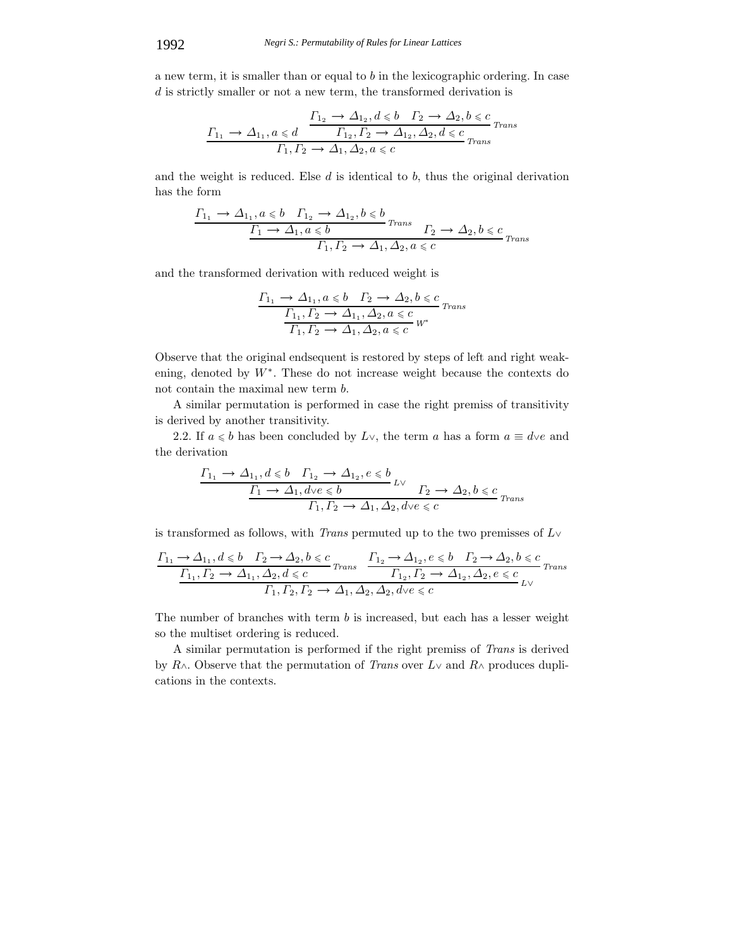a new term, it is smaller than or equal to b in the lexicographic ordering. In case  $d$  is strictly smaller or not a new term, the transformed derivation is

$$
\frac{\varGamma_{1_2}\to\varDelta_{1_2},d\leqslant b\quad \varGamma_2\to\varDelta_2,b\leqslant c}{\varGamma_{1_2},\varGamma_2\to\varDelta_{1_2},\varDelta_2,d\leqslant c\varGamma_{Trans}}\frac{\varGamma_{1_1}\to\varDelta_{1_1},\varGamma_2\to\varDelta_{1_2},\varDelta_{2_2},d\leqslant c}{\varGamma_{trans}}}
$$

and the weight is reduced. Else  $d$  is identical to  $b$ , thus the original derivation has the form

$$
\frac{\Gamma_{1_1} \to \Delta_{1_1}, a \leq b \quad \Gamma_{1_2} \to \Delta_{1_2}, b \leq b}{\frac{\Gamma_1 \to \Delta_1, a \leq b}{\Gamma_1, \Gamma_2 \to \Delta_1, \Delta_2, a \leq c}} \quad \frac{\Gamma_2 \to \Delta_2, b \leq c}{\Gamma_{\text{trans}}}
$$

and the transformed derivation with reduced weight is

$$
\frac{\Gamma_{1_1} \to \Delta_{1_1}, a \leqslant b \quad \Gamma_2 \to \Delta_2, b \leqslant c}{\frac{\Gamma_{1_1}, \Gamma_2 \to \Delta_{1_1}, \Delta_2, a \leqslant c}{\Gamma_1, \Gamma_2 \to \Delta_1, \Delta_2, a \leqslant c} w^*}
$$

Observe that the original endsequent is restored by steps of left and right weakening, denoted by  $W^*$ . These do not increase weight because the contexts do not contain the maximal new term b.

A similar permutation is performed in case the right premiss of transitivity is derived by another transitivity.

2.2. If  $a \leq b$  has been concluded by  $L \vee$ , the term a has a form  $a \equiv d \vee e$  and the derivation

$$
\frac{\Gamma_{1_1} \to \Delta_{1_1}, d \leq b \quad \Gamma_{1_2} \to \Delta_{1_2}, e \leq b}{\Gamma_1 \to \Delta_1, d \vee e \leq b} \quad \frac{\Gamma_2 \to \Delta_2, b \leq c}{\Gamma_2 \to \Delta_2, b \leq c} \quad \frac{\Gamma_1, \Gamma_2 \to \Delta_1, \Delta_2, d \vee e \leq c}{\Gamma_1 \cap \Gamma_2 \to \Delta_1, \Delta_2, d \vee e \leq c}
$$

is transformed as follows, with *Trans* permuted up to the two premisses of L<sup>∨</sup>

$$
\frac{\Gamma_{1_1} \to \Delta_{1_1}, d \leqslant b \quad \Gamma_2 \to \Delta_2, b \leqslant c}{\frac{\Gamma_{1_1}, \Gamma_2 \to \Delta_{1_1}, \Delta_2, d \leqslant c}{\Delta_{1_1}, \Delta_2, d \leqslant c}} \quad \frac{\Gamma_{1_2} \to \Delta_{1_2}, e \leqslant b \quad \Gamma_2 \to \Delta_2, b \leqslant c}{\Gamma_{1_2}, \Gamma_2 \to \Delta_{1_2}, \Delta_2, e \leqslant c} \quad \frac{\Gamma_{1_2}, \Gamma_2 \to \Delta_{1_2}, \Delta_2, e \leqslant c}{\Gamma_{1_2}, \Gamma_2 \to \Delta_1, \Delta_2, \Delta_2, d \vee e \leqslant c} \quad \text{and}
$$

The number of branches with term b is increased, but each has a lesser weight so the multiset ordering is reduced.

A similar permutation is performed if the right premiss of *Trans* is derived by R∧. Observe that the permutation of *Trans* over L<sup>∨</sup> and R<sup>∧</sup> produces duplications in the contexts.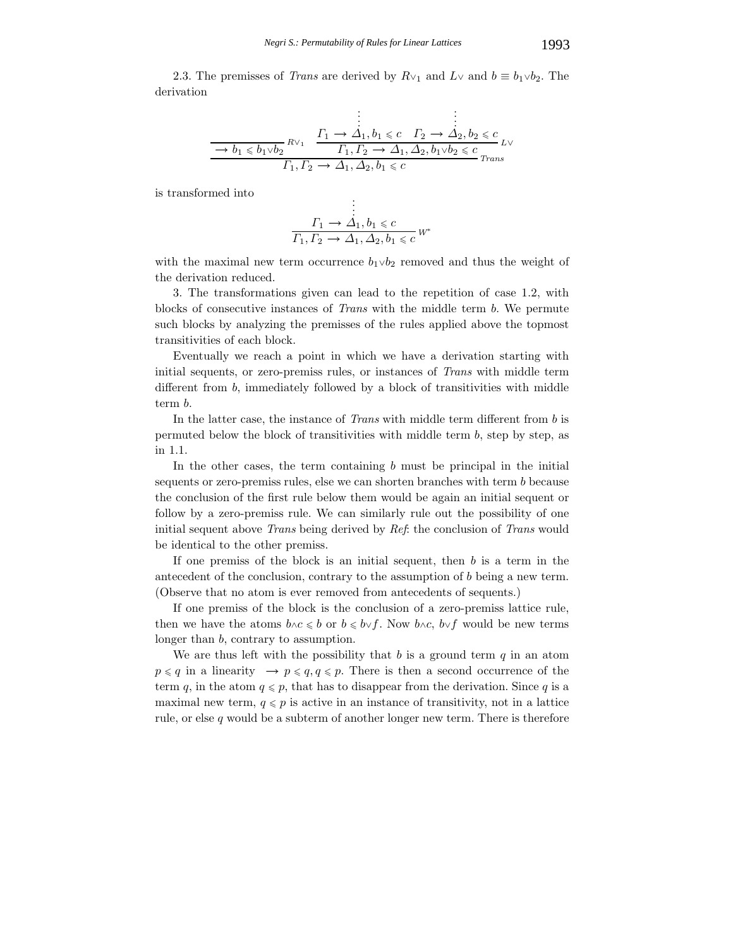2.3. The premisses of *Trans* are derived by  $R\vee_1$  and  $L\vee$  and  $b \equiv b_1 \vee b_2$ . The derivation

$$
\begin{array}{c}\n\vdots \\
\hline\n-b_1 \leq b_1 \lor b_2\n\end{array}\n\qquad\n\begin{array}{c}\n\vdots \\
\Gamma_1 \to \Delta_1, b_1 \leq c \quad \Gamma_2 \to \Delta_2, b_2 \leq c \\
\hline\nI_1, \Gamma_2 \to \Delta_1, \Delta_2, b_1 \lor b_2 \leq c \quad \text{Trans}\n\end{array}
$$

is transformed into

$$
\vdots
$$
\n
$$
\Gamma_1 \to \Delta_1, b_1 \leq c
$$
\n
$$
\Gamma_1, \Gamma_2 \to \Delta_1, \Delta_2, b_1 \leq c
$$
\n
$$
W^*
$$

with the maximal new term occurrence  $b_1 \vee b_2$  removed and thus the weight of the derivation reduced.

3. The transformations given can lead to the repetition of case 1.2, with blocks of consecutive instances of *Trans* with the middle term b. We permute such blocks by analyzing the premisses of the rules applied above the topmost transitivities of each block.

Eventually we reach a point in which we have a derivation starting with initial sequents, or zero-premiss rules, or instances of *Trans* with middle term different from b, immediately followed by a block of transitivities with middle term b.

In the latter case, the instance of *Trans* with middle term different from b is permuted below the block of transitivities with middle term  $b$ , step by step, as in 1.1.

In the other cases, the term containing  $b$  must be principal in the initial sequents or zero-premiss rules, else we can shorten branches with term b because the conclusion of the first rule below them would be again an initial sequent or follow by a zero-premiss rule. We can similarly rule out the possibility of one initial sequent above *Trans* being derived by *Ref*: the conclusion of *Trans* would be identical to the other premiss.

If one premiss of the block is an initial sequent, then b is a term in the antecedent of the conclusion, contrary to the assumption of b being a new term. (Observe that no atom is ever removed from antecedents of sequents.)

If one premiss of the block is the conclusion of a zero-premiss lattice rule, then we have the atoms  $b \land c \leq b$  or  $b \leq b \lor f$ . Now  $b \land c$ ,  $b \lor f$  would be new terms longer than b, contrary to assumption.

We are thus left with the possibility that  $b$  is a ground term  $q$  in an atom  $p \leq q$  in a linearity  $\rightarrow p \leq q, q \leq p$ . There is then a second occurrence of the term q, in the atom  $q \leq p$ , that has to disappear from the derivation. Since q is a maximal new term,  $q \leq p$  is active in an instance of transitivity, not in a lattice rule, or else  $q$  would be a subterm of another longer new term. There is therefore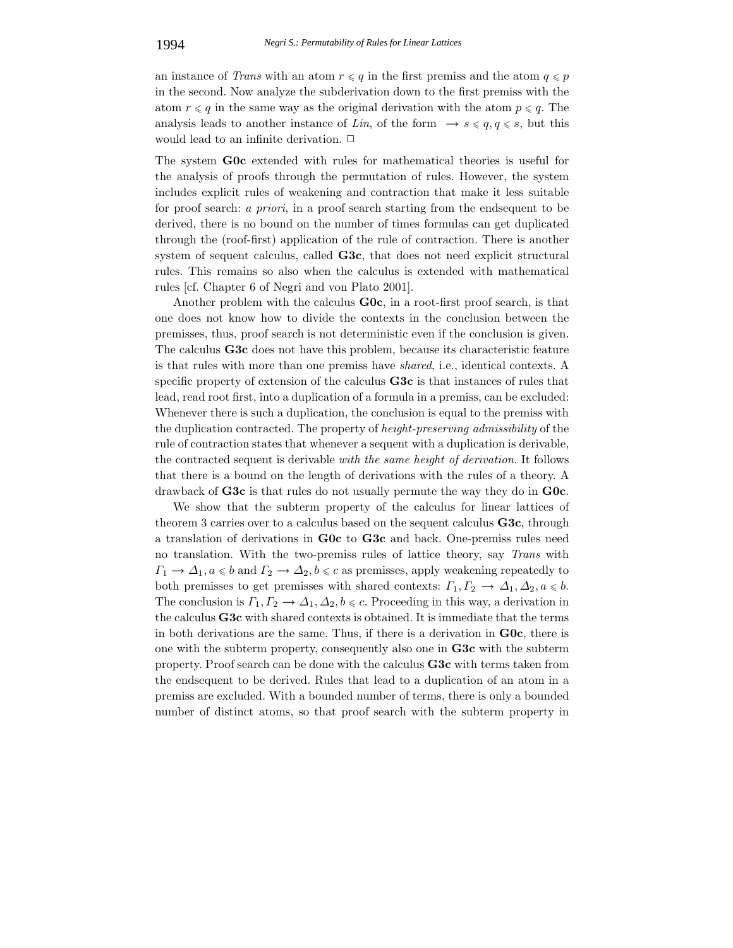an instance of *Trans* with an atom  $r \leq q$  in the first premiss and the atom  $q \leq p$ in the second. Now analyze the subderivation down to the first premiss with the atom  $r \leq q$  in the same way as the original derivation with the atom  $p \leq q$ . The analysis leads to another instance of *Lin*, of the form  $\rightarrow s \leqslant q, q \leqslant s$ , but this would lead to an infinite derivation.  $\Box$ 

The system **G0c** extended with rules for mathematical theories is useful for the analysis of proofs through the permutation of rules. However, the system includes explicit rules of weakening and contraction that make it less suitable for proof search: *a priori*, in a proof search starting from the endsequent to be derived, there is no bound on the number of times formulas can get duplicated through the (roof-first) application of the rule of contraction. There is another system of sequent calculus, called **G3c**, that does not need explicit structural rules. This remains so also when the calculus is extended with mathematical rules [cf. Chapter 6 of Negri and von Plato 2001].

Another problem with the calculus **G0c**, in a root-first proof search, is that one does not know how to divide the contexts in the conclusion between the premisses, thus, proof search is not deterministic even if the conclusion is given. The calculus **G3c** does not have this problem, because its characteristic feature is that rules with more than one premiss have *shared*, i.e., identical contexts. A specific property of extension of the calculus **G3c** is that instances of rules that lead, read root first, into a duplication of a formula in a premiss, can be excluded: Whenever there is such a duplication, the conclusion is equal to the premiss with the duplication contracted. The property of *height-preserving admissibility* of the rule of contraction states that whenever a sequent with a duplication is derivable, the contracted sequent is derivable *with the same height of derivation*. It follows that there is a bound on the length of derivations with the rules of a theory. A drawback of **G3c** is that rules do not usually permute the way they do in **G0c**.

We show that the subterm property of the calculus for linear lattices of theorem 3 carries over to a calculus based on the sequent calculus **G3c**, through a translation of derivations in **G0c** to **G3c** and back. One-premiss rules need no translation. With the two-premiss rules of lattice theory, say *Trans* with  $\Gamma_1 \to \Delta_1, a \leq b$  and  $\Gamma_2 \to \Delta_2, b \leq c$  as premisses, apply weakening repeatedly to both premisses to get premisses with shared contexts:  $\Gamma_1, \Gamma_2 \to \Delta_1, \Delta_2, a \leq b$ . The conclusion is  $\Gamma_1, \Gamma_2 \to \Delta_1, \Delta_2, b \leq c$ . Proceeding in this way, a derivation in the calculus **G3c** with shared contexts is obtained. It is immediate that the terms in both derivations are the same. Thus, if there is a derivation in **G0c**, there is one with the subterm property, consequently also one in **G3c** with the subterm property. Proof search can be done with the calculus **G3c** with terms taken from the endsequent to be derived. Rules that lead to a duplication of an atom in a premiss are excluded. With a bounded number of terms, there is only a bounded number of distinct atoms, so that proof search with the subterm property in